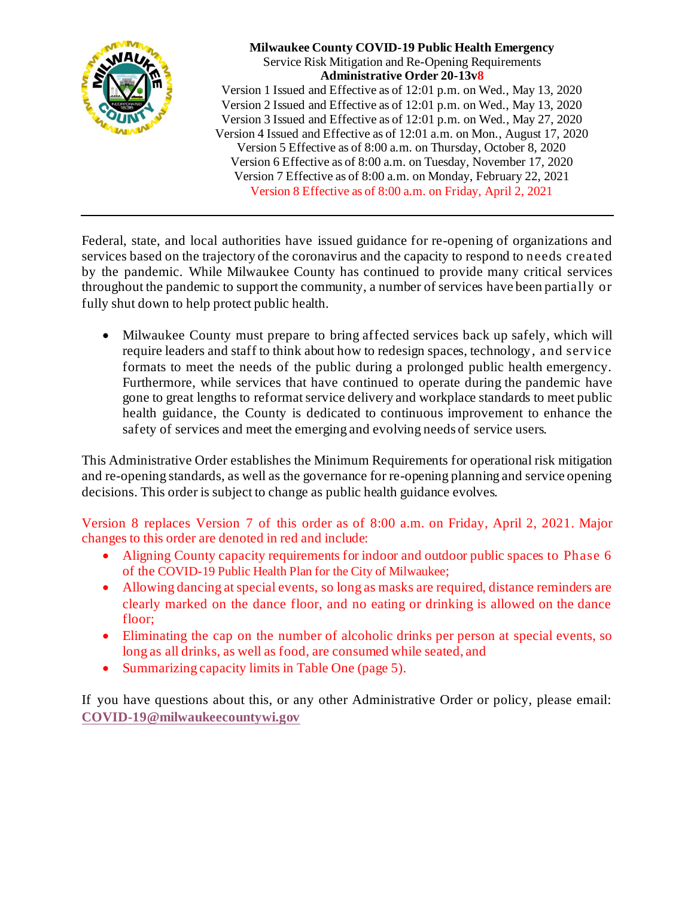

**Milwaukee County COVID-19 Public Health Emergency** Service Risk Mitigation and Re-Opening Requirements **Administrative Order 20-13v8** Version 1 Issued and Effective as of 12:01 p.m. on Wed., May 13, 2020 Version 2 Issued and Effective as of 12:01 p.m. on Wed., May 13, 2020 Version 3 Issued and Effective as of 12:01 p.m. on Wed., May 27, 2020 Version 4 Issued and Effective as of 12:01 a.m. on Mon., August 17, 2020 Version 5 Effective as of 8:00 a.m. on Thursday, October 8, 2020 Version 6 Effective as of 8:00 a.m. on Tuesday, November 17, 2020 Version 7 Effective as of 8:00 a.m. on Monday, February 22, 2021 Version 8 Effective as of 8:00 a.m. on Friday, April 2, 2021

Federal, state, and local authorities have issued guidance for re-opening of organizations and services based on the trajectory of the coronavirus and the capacity to respond to needs created by the pandemic. While Milwaukee County has continued to provide many critical services throughout the pandemic to support the community, a number of services have been partially or fully shut down to help protect public health.

• Milwaukee County must prepare to bring affected services back up safely, which will require leaders and staff to think about how to redesign spaces, technology, and service formats to meet the needs of the public during a prolonged public health emergency. Furthermore, while services that have continued to operate during the pandemic have gone to great lengths to reformat service delivery and workplace standards to meet public health guidance, the County is dedicated to continuous improvement to enhance the safety of services and meet the emerging and evolving needs of service users.

This Administrative Order establishes the Minimum Requirements for operational risk mitigation and re-opening standards, as well as the governance for re-opening planning and service opening decisions. This order is subject to change as public health guidance evolves.

Version 8 replaces Version 7 of this order as of 8:00 a.m. on Friday, April 2, 2021. Major changes to this order are denoted in red and include:

- Aligning County capacity requirements for indoor and outdoor public spaces to Phase 6 of the COVID-19 Public Health Plan for the City of Milwaukee;
- Allowing dancing at special events, so long as masks are required, distance reminders are clearly marked on the dance floor, and no eating or drinking is allowed on the dance floor;
- Eliminating the cap on the number of alcoholic drinks per person at special events, so long as all drinks, as well as food, are consumed while seated, and
- Summarizing capacity limits in Table One (page 5).

If you have questions about this, or any other Administrative Order or policy, please email: **[COVID-19@milwaukeecountywi.gov](mailto:COVID-19@milwaukeecountywi.gov)**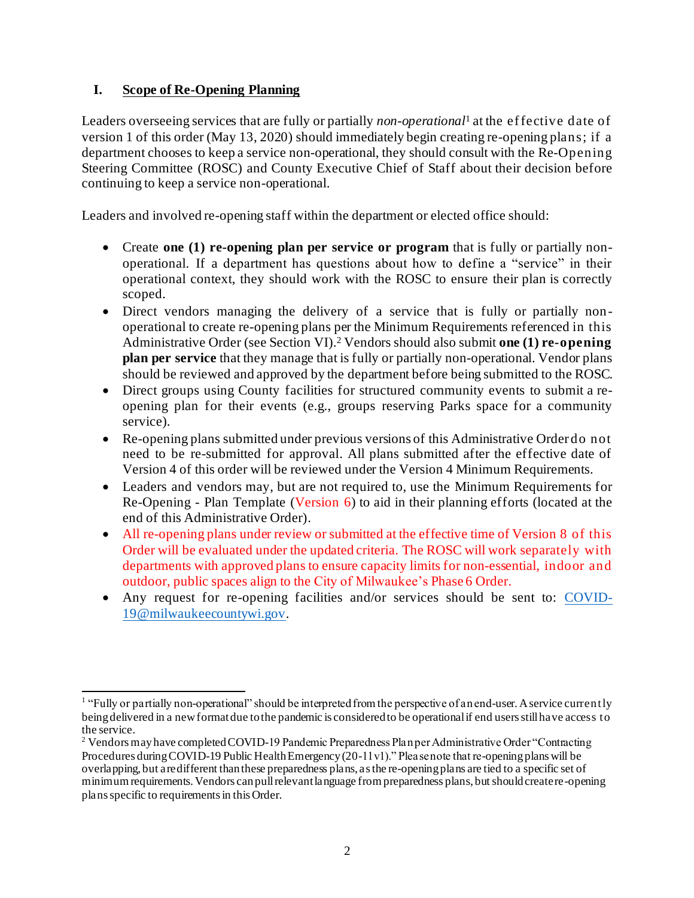## **I. Scope of Re-Opening Planning**

Leaders overseeing services that are fully or partially *non-operational*<sup>1</sup> at the ef fective date of version 1 of this order (May 13, 2020) should immediately begin creating re-opening plans; if a department chooses to keep a service non-operational, they should consult with the Re-Opening Steering Committee (ROSC) and County Executive Chief of Staff about their decision before continuing to keep a service non-operational.

Leaders and involved re-opening staff within the department or elected office should:

- Create **one (1) re-opening plan per service or program** that is fully or partially nonoperational. If a department has questions about how to define a "service" in their operational context, they should work with the ROSC to ensure their plan is correctly scoped.
- Direct vendors managing the delivery of a service that is fully or partially nonoperational to create re-opening plans per the Minimum Requirements referenced in this Administrative Order (see Section VI). <sup>2</sup> Vendors should also submit **one (1) re-opening plan per service** that they manage that is fully or partially non-operational. Vendor plans should be reviewed and approved by the department before being submitted to the ROSC.
- Direct groups using County facilities for structured community events to submit a reopening plan for their events (e.g., groups reserving Parks space for a community service).
- Re-opening plans submitted under previous versions of this Administrative Order do not need to be re-submitted for approval. All plans submitted after the effective date of Version 4 of this order will be reviewed under the Version 4 Minimum Requirements.
- Leaders and vendors may, but are not required to, use the Minimum Requirements for Re-Opening - Plan Template (Version 6) to aid in their planning efforts (located at the end of this Administrative Order).
- All re-opening plans under review or submitted at the effective time of Version 8 of this Order will be evaluated under the updated criteria. The ROSC will work separately with departments with approved plans to ensure capacity limits for non-essential, indoor and outdoor, public spaces align to the City of Milwaukee's Phase 6 Order.
- Any request for re-opening facilities and/or services should be sent to: [COVID-](file:///C:/Users/judd.taback/AppData/Local/Microsoft/Windows/INetCache/Content.Outlook/8QMRRZJB/COVID-19@milwaukeecountywi.gov)[19@milwaukeecountywi.gov](file:///C:/Users/judd.taback/AppData/Local/Microsoft/Windows/INetCache/Content.Outlook/8QMRRZJB/COVID-19@milwaukeecountywi.gov).

<sup>&</sup>lt;sup>1</sup> "Fully or partially non-operational" should be interpreted from the perspective of an end-user. A service currently being delivered in a new format due to the pandemic is considered to be operational if end users still have access to the service.

<sup>&</sup>lt;sup>2</sup> Vendors may have completed COVID-19 Pandemic Preparedness Plan per Administrative Order "Contracting Procedures during COVID-19 Public Health Emergency (20-11v1)." Please note that re-opening plans will be overlapping, but are different than these preparedness plans, as the re-opening plans are tied to a specific set of minimum requirements. Vendors can pull relevant language from preparedness plans, but should create re-opening plans specific to requirements in this Order.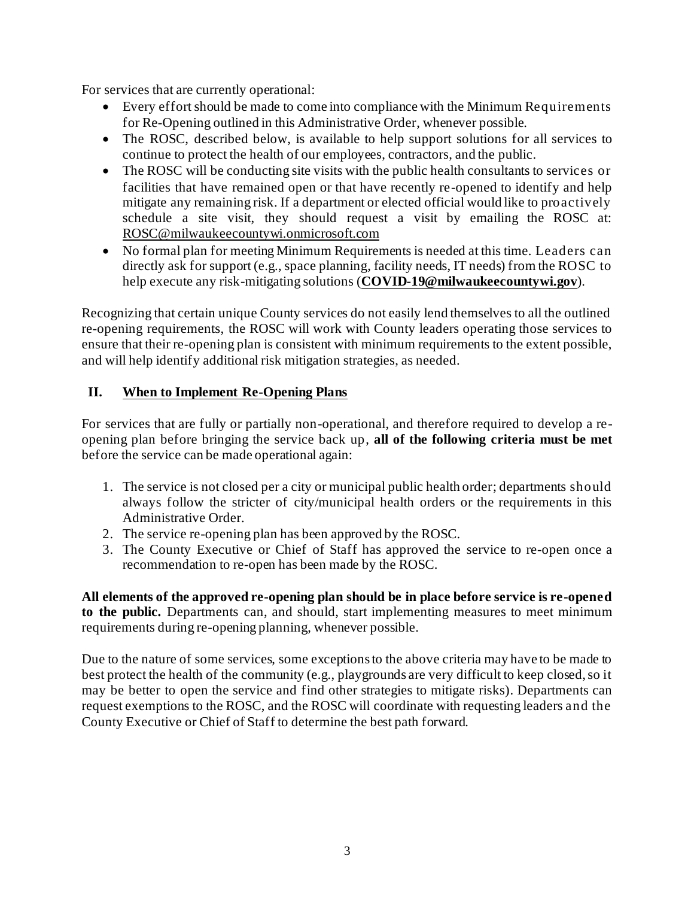For services that are currently operational:

- Every effort should be made to come into compliance with the Minimum Requirements for Re-Opening outlined in this Administrative Order, whenever possible.
- The ROSC, described below, is available to help support solutions for all services to continue to protect the health of our employees, contractors, and the public.
- The ROSC will be conducting site visits with the public health consultants to services or facilities that have remained open or that have recently re-opened to identify and help mitigate any remaining risk. If a department or elected official would like to proactively schedule a site visit, they should request a visit by emailing the ROSC at: [ROSC@milwaukeecountywi.onmicrosoft.com](mailto:ROSC@milwaukeecountywi.onmicrosoft.com)
- No formal plan for meeting Minimum Requirements is needed at this time. Leaders can directly ask for support (e.g., space planning, facility needs, IT needs) from the ROSC to help execute any risk-mitigating solutions (**[COVID-19@milwaukeecountywi.gov](mailto:COVID-19@milwaukeecountywi.gov)**).

Recognizing that certain unique County services do not easily lend themselves to all the outlined re-opening requirements, the ROSC will work with County leaders operating those services to ensure that their re-opening plan is consistent with minimum requirements to the extent possible, and will help identify additional risk mitigation strategies, as needed.

#### **II. When to Implement Re-Opening Plans**

For services that are fully or partially non-operational, and therefore required to develop a reopening plan before bringing the service back up, **all of the following criteria must be met** before the service can be made operational again:

- 1. The service is not closed per a city or municipal public health order; departments should always follow the stricter of city/municipal health orders or the requirements in this Administrative Order.
- 2. The service re-opening plan has been approved by the ROSC.
- 3. The County Executive or Chief of Staff has approved the service to re-open once a recommendation to re-open has been made by the ROSC.

**All elements of the approved re-opening plan should be in place before service is re-opened to the public.** Departments can, and should, start implementing measures to meet minimum requirements during re-opening planning, whenever possible.

Due to the nature of some services, some exceptions to the above criteria may have to be made to best protect the health of the community (e.g., playgrounds are very difficult to keep closed, so it may be better to open the service and find other strategies to mitigate risks). Departments can request exemptions to the ROSC, and the ROSC will coordinate with requesting leaders and the County Executive or Chief of Staff to determine the best path forward.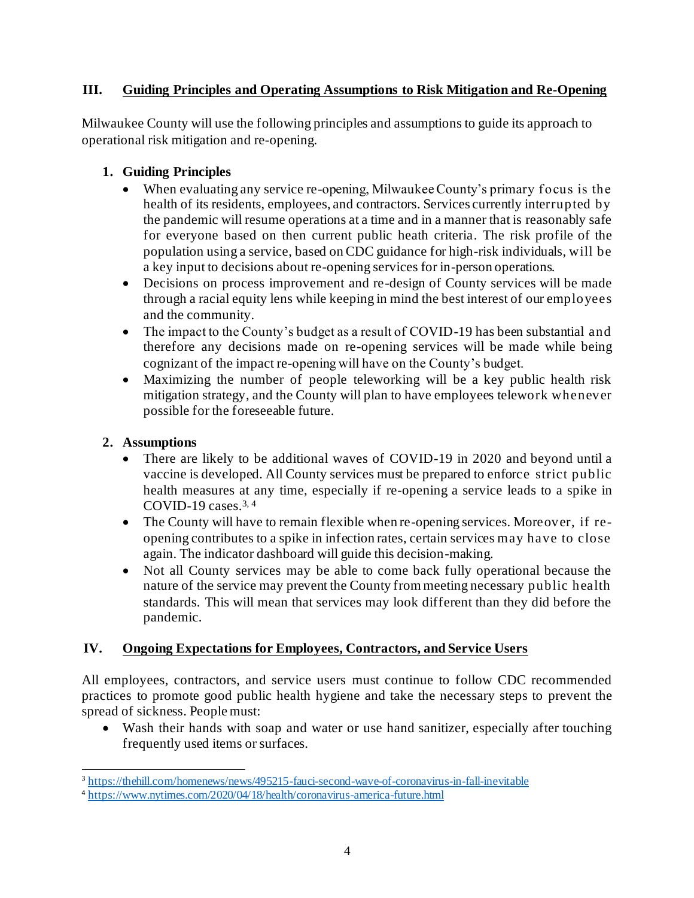# **III. Guiding Principles and Operating Assumptions to Risk Mitigation and Re-Opening**

Milwaukee County will use the following principles and assumptions to guide its approach to operational risk mitigation and re-opening.

## **1. Guiding Principles**

- When evaluating any service re-opening, Milwaukee County's primary focus is the health of its residents, employees, and contractors. Services currently interrupted by the pandemic will resume operations at a time and in a manner that is reasonably safe for everyone based on then current public heath criteria. The risk profile of the population using a service, based on CDC guidance for high-risk individuals, will be a key input to decisions about re-opening services for in-person operations.
- Decisions on process improvement and re-design of County services will be made through a racial equity lens while keeping in mind the best interest of our employees and the community.
- The impact to the County's budget as a result of COVID-19 has been substantial and therefore any decisions made on re-opening services will be made while being cognizant of the impact re-opening will have on the County's budget.
- Maximizing the number of people teleworking will be a key public health risk mitigation strategy, and the County will plan to have employees telework whenever possible for the foreseeable future.

#### **2. Assumptions**

- There are likely to be additional waves of COVID-19 in 2020 and beyond until a vaccine is developed. All County services must be prepared to enforce strict public health measures at any time, especially if re-opening a service leads to a spike in COVID-19 cases.3, 4
- The County will have to remain flexible when re-opening services. Moreover, if reopening contributes to a spike in infection rates, certain services may have to close again. The indicator dashboard will guide this decision-making.
- Not all County services may be able to come back fully operational because the nature of the service may prevent the County from meeting necessary public health standards. This will mean that services may look different than they did before the pandemic.

# **IV. Ongoing Expectations for Employees, Contractors, and Service Users**

All employees, contractors, and service users must continue to follow CDC recommended practices to promote good public health hygiene and take the necessary steps to prevent the spread of sickness. People must:

• Wash their hands with soap and water or use hand sanitizer, especially after touching frequently used items or surfaces.

<sup>&</sup>lt;sup>3</sup> <https://thehill.com/homenews/news/495215-fauci-second-wave-of-coronavirus-in-fall-inevitable>

<sup>4</sup> <https://www.nytimes.com/2020/04/18/health/coronavirus-america-future.html>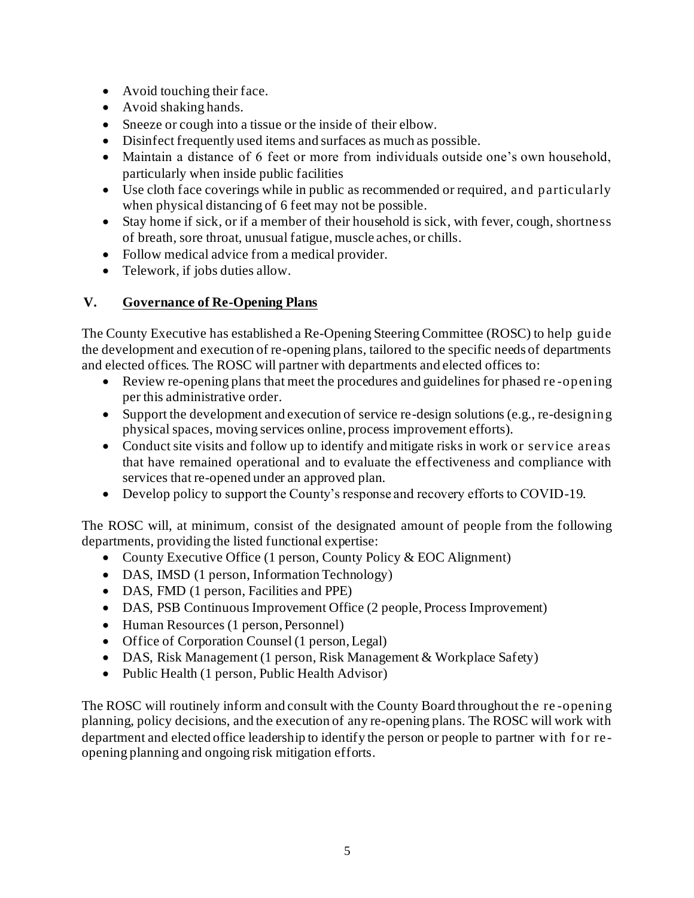- Avoid touching their face.
- Avoid shaking hands.
- Sneeze or cough into a tissue or the inside of their elbow.
- Disinfect frequently used items and surfaces as much as possible.
- Maintain a distance of 6 feet or more from individuals outside one's own household, particularly when inside public facilities
- Use cloth face coverings while in public as recommended or required, and particularly when physical distancing of 6 feet may not be possible.
- Stay home if sick, or if a member of their household is sick, with fever, cough, shortness of breath, sore throat, unusual fatigue, muscle aches, or chills.
- Follow medical advice from a medical provider.
- Telework, if jobs duties allow.

# **V. Governance of Re-Opening Plans**

The County Executive has established a Re-Opening Steering Committee (ROSC) to help guide the development and execution of re-opening plans, tailored to the specific needs of departments and elected offices. The ROSC will partner with departments and elected offices to:

- Review re-opening plans that meet the procedures and guidelines for phased re -opening per this administrative order.
- Support the development and execution of service re-design solutions (e.g., re-designing physical spaces, moving services online, process improvement efforts).
- Conduct site visits and follow up to identify and mitigate risks in work or service areas that have remained operational and to evaluate the effectiveness and compliance with services that re-opened under an approved plan.
- Develop policy to support the County's response and recovery efforts to COVID-19.

The ROSC will, at minimum, consist of the designated amount of people from the following departments, providing the listed functional expertise:

- County Executive Office (1 person, County Policy & EOC Alignment)
- DAS, IMSD (1 person, Information Technology)
- DAS, FMD (1 person, Facilities and PPE)
- DAS, PSB Continuous Improvement Office (2 people, Process Improvement)
- Human Resources (1 person, Personnel)
- Office of Corporation Counsel (1 person, Legal)
- DAS, Risk Management (1 person, Risk Management & Workplace Safety)
- Public Health (1 person, Public Health Advisor)

The ROSC will routinely inform and consult with the County Board throughout the re -opening planning, policy decisions, and the execution of any re-opening plans. The ROSC will work with department and elected office leadership to identify the person or people to partner with f or reopening planning and ongoing risk mitigation efforts.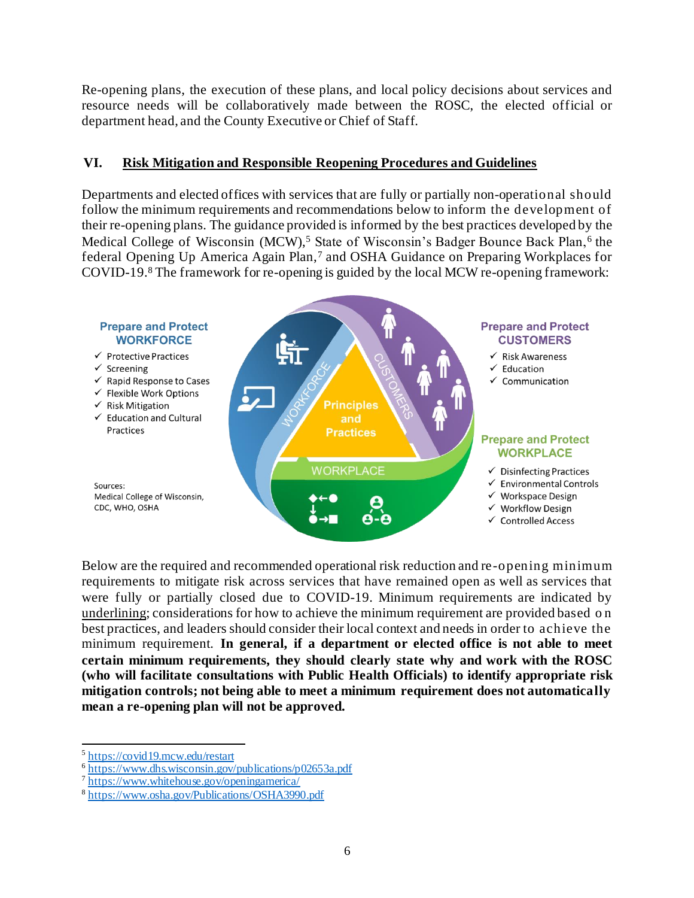Re-opening plans, the execution of these plans, and local policy decisions about services and resource needs will be collaboratively made between the ROSC, the elected official or department head, and the County Executive or Chief of Staff.

#### **VI. Risk Mitigation and Responsible Reopening Procedures and Guidelines**

Departments and elected offices with services that are fully or partially non-operational should follow the minimum requirements and recommendations below to inform the development of their re-opening plans. The guidance provided is informed by the best practices developed by the Medical College of Wisconsin (MCW),<sup>5</sup> State of Wisconsin's Badger Bounce Back Plan,<sup>6</sup> the federal Opening Up America Again Plan,<sup>7</sup> and OSHA Guidance on Preparing Workplaces for COVID-19.<sup>8</sup> The framework for re-opening is guided by the local MCW re-opening framework:



Below are the required and recommended operational risk reduction and re-opening minimum requirements to mitigate risk across services that have remained open as well as services that were fully or partially closed due to COVID-19. Minimum requirements are indicated by underlining; considerations for how to achieve the minimum requirement are provided based o n best practices, and leaders should consider their local context and needs in order to achieve the minimum requirement. **In general, if a department or elected office is not able to meet certain minimum requirements, they should clearly state why and work with the ROSC (who will facilitate consultations with Public Health Officials) to identify appropriate risk mitigation controls; not being able to meet a minimum requirement does not automatically mean a re-opening plan will not be approved.** 

<sup>&</sup>lt;sup>5</sup> <https://covid19.mcw.edu/restart>

<sup>&</sup>lt;sup>6</sup> <https://www.dhs.wisconsin.gov/publications/p02653a.pdf>

<sup>7</sup> <https://www.whitehouse.gov/openingamerica/>

<sup>8</sup> <https://www.osha.gov/Publications/OSHA3990.pdf>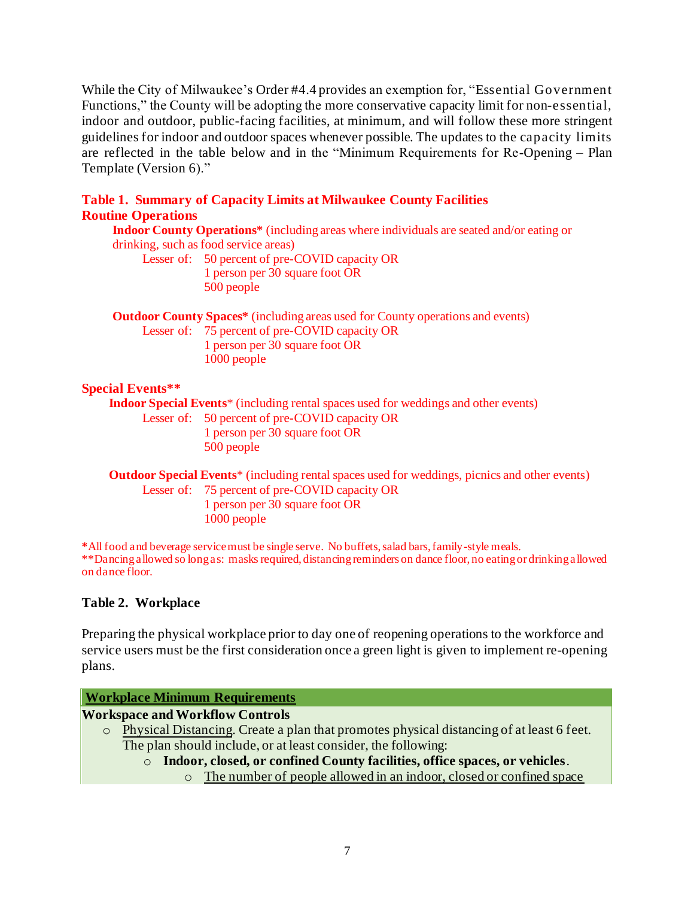While the City of Milwaukee's Order #4.4 provides an exemption for, "Essential Government Functions," the County will be adopting the more conservative capacity limit for non-essential, indoor and outdoor, public-facing facilities, at minimum, and will follow these more stringent guidelines for indoor and outdoor spaces whenever possible. The updates to the capacity limits are reflected in the table below and in the "Minimum Requirements for Re-Opening – Plan Template (Version 6)."

#### **Table 1. Summary of Capacity Limits at Milwaukee County Facilities Routine Operations**

**Indoor County Operations\*** (including areas where individuals are seated and/or eating or drinking, such as food service areas)

Lesser of: 50 percent of pre-COVID capacity OR 1 person per 30 square foot OR 500 people

**Outdoor County Spaces\*** (including areas used for County operations and events)

Lesser of: 75 percent of pre-COVID capacity OR 1 person per 30 square foot OR 1000 people

# **Special Events\*\***

**Indoor Special Events**\* (including rental spaces used for weddings and other events)

Lesser of: 50 percent of pre-COVID capacity OR 1 person per 30 square foot OR 500 people

**Outdoor Special Events**\* (including rental spaces used for weddings, picnics and other events) Lesser of: 75 percent of pre-COVID capacity OR 1 person per 30 square foot OR 1000 people

**\***All food and beverage service must be single serve. No buffets, salad bars, family-style meals. \*\*Dancing allowed so long as: masks required, distancing reminders on dance floor, no eating or drinking allowed on dance floor.

# **Table 2. Workplace**

Preparing the physical workplace prior to day one of reopening operations to the workforce and service users must be the first consideration once a green light is given to implement re-opening plans.

# **Workplace Minimum Requirements**

#### **Workspace and Workflow Controls**

- o Physical Distancing. Create a plan that promotes physical distancing of at least 6 feet. The plan should include, or at least consider, the following:
	- o **Indoor, closed, or confined County facilities, office spaces, or vehicles**.
		- o The number of people allowed in an indoor, closed or confined space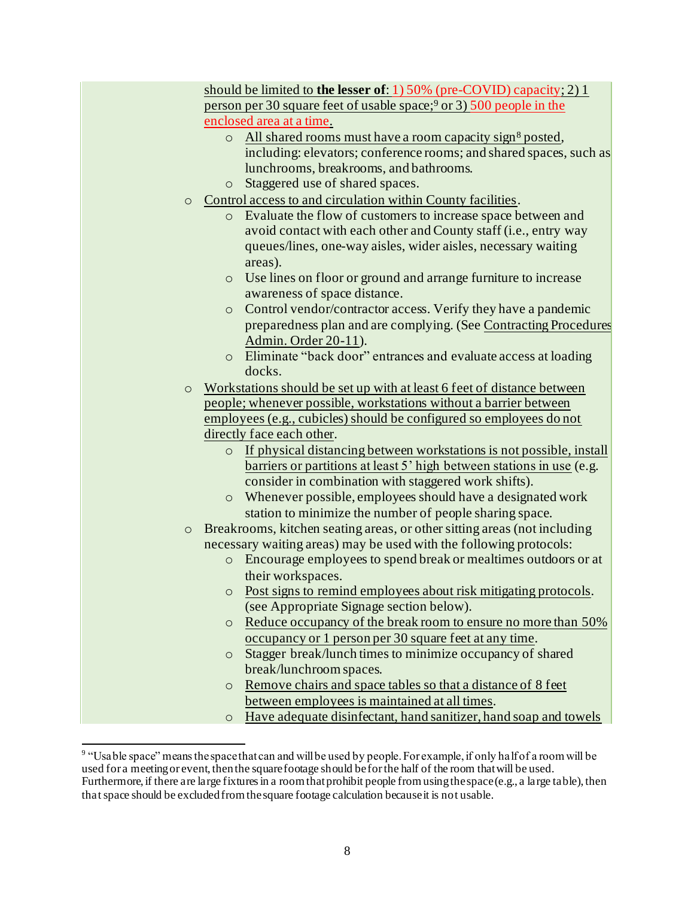|         |         | should be limited to <b>the lesser of</b> : 1) 50% (pre-COVID) capacity; 2) 1                                                            |
|---------|---------|------------------------------------------------------------------------------------------------------------------------------------------|
|         |         | person per 30 square feet of usable space; <sup>9</sup> or 3) 500 people in the                                                          |
|         |         | enclosed area at a time.                                                                                                                 |
|         | $\circ$ | All shared rooms must have a room capacity sign <sup>8</sup> posted,                                                                     |
|         |         | including: elevators; conference rooms; and shared spaces, such as                                                                       |
|         |         | lunchrooms, breakrooms, and bathrooms.                                                                                                   |
|         | $\circ$ | Staggered use of shared spaces.                                                                                                          |
|         |         | o Control access to and circulation within County facilities.                                                                            |
|         |         | o Evaluate the flow of customers to increase space between and                                                                           |
|         |         | avoid contact with each other and County staff (i.e., entry way                                                                          |
|         |         | queues/lines, one-way aisles, wider aisles, necessary waiting                                                                            |
|         |         | areas).                                                                                                                                  |
|         | $\circ$ | Use lines on floor or ground and arrange furniture to increase                                                                           |
|         |         | awareness of space distance.                                                                                                             |
|         | $\circ$ | Control vendor/contractor access. Verify they have a pandemic                                                                            |
|         |         | preparedness plan and are complying. (See Contracting Procedures                                                                         |
|         |         | Admin. Order 20-11).                                                                                                                     |
|         |         | o Eliminate "back door" entrances and evaluate access at loading<br>docks.                                                               |
|         |         |                                                                                                                                          |
| $\circ$ |         | Workstations should be set up with at least 6 feet of distance between                                                                   |
|         |         | people; whenever possible, workstations without a barrier between<br>employees (e.g., cubicles) should be configured so employees do not |
|         |         | directly face each other.                                                                                                                |
|         |         | o If physical distancing between workstations is not possible, install                                                                   |
|         |         | barriers or partitions at least 5' high between stations in use (e.g.                                                                    |
|         |         | consider in combination with staggered work shifts).                                                                                     |
|         | $\circ$ | Whenever possible, employees should have a designated work                                                                               |
|         |         | station to minimize the number of people sharing space.                                                                                  |
| $\circ$ |         | Breakrooms, kitchen seating areas, or other sitting areas (not including                                                                 |
|         |         | necessary waiting areas) may be used with the following protocols:                                                                       |
|         | $\circ$ | Encourage employees to spend break or mealtimes outdoors or at                                                                           |
|         |         | their workspaces.                                                                                                                        |
|         | $\circ$ | Post signs to remind employees about risk mitigating protocols.                                                                          |
|         |         | (see Appropriate Signage section below).                                                                                                 |
|         | $\circ$ | Reduce occupancy of the break room to ensure no more than 50%                                                                            |
|         |         | occupancy or 1 person per 30 square feet at any time.                                                                                    |
|         | $\circ$ | Stagger break/lunch times to minimize occupancy of shared                                                                                |
|         |         | break/lunchroom spaces.                                                                                                                  |
|         | $\circ$ | Remove chairs and space tables so that a distance of 8 feet                                                                              |
|         |         | between employees is maintained at all times.                                                                                            |
|         | $\circ$ | Have adequate disinfectant, hand sanitizer, hand soap and towels                                                                         |

<sup>&</sup>lt;sup>9</sup> "Usable space" means the space that can and will be used by people. For example, if only half of a room will be used for a meeting or event, then the square footage should be for the half of the room that will be used. Furthermore, if there are large fixtures in a room that prohibit people from using the space (e.g., a large table), then that space should be excluded from the square footage calculation because it is not usable.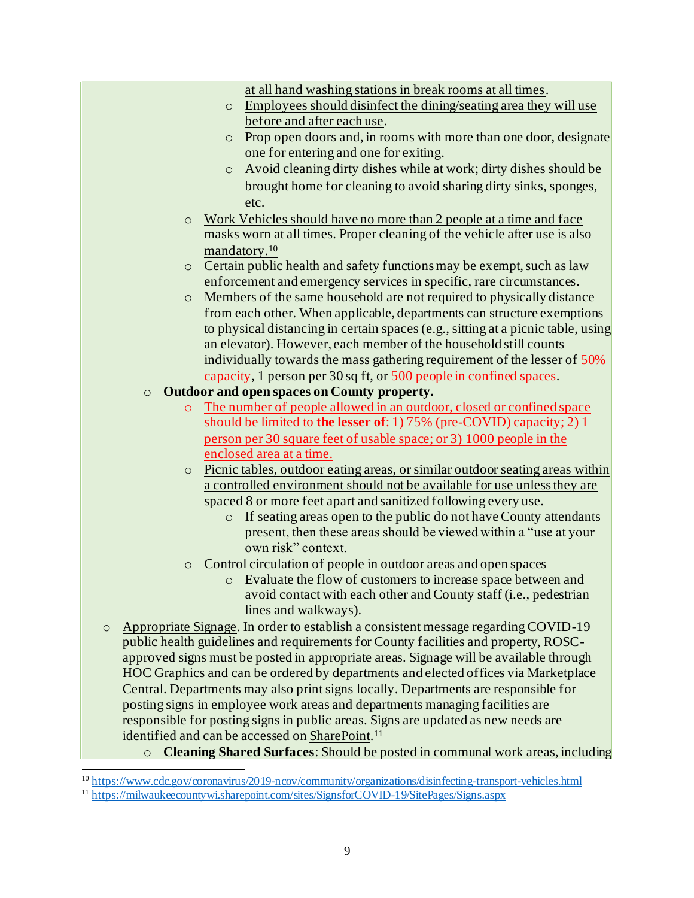| at all hand washing stations in break rooms at all times.                                                |
|----------------------------------------------------------------------------------------------------------|
| Employees should disinfect the dining/seating area they will use<br>$\circ$                              |
| before and after each use.                                                                               |
| Prop open doors and, in rooms with more than one door, designate<br>$\circ$                              |
| one for entering and one for exiting.                                                                    |
| Avoid cleaning dirty dishes while at work; dirty dishes should be<br>$\circ$                             |
| brought home for cleaning to avoid sharing dirty sinks, sponges,                                         |
| etc.                                                                                                     |
| Work Vehicles should have no more than 2 people at a time and face<br>$\circ$                            |
| masks worn at all times. Proper cleaning of the vehicle after use is also                                |
| mandatory. <sup>10</sup>                                                                                 |
| Certain public health and safety functions may be exempt, such as law<br>$\circ$                         |
| enforcement and emergency services in specific, rare circumstances.                                      |
| Members of the same household are not required to physically distance<br>$\circ$                         |
| from each other. When applicable, departments can structure exemptions                                   |
| to physical distancing in certain spaces (e.g., sitting at a picnic table, using                         |
| an elevator). However, each member of the household still counts                                         |
| individually towards the mass gathering requirement of the lesser of 50%                                 |
| capacity, 1 person per 30 sq ft, or 500 people in confined spaces.                                       |
| Outdoor and open spaces on County property.<br>$\circ$                                                   |
| The number of people allowed in an outdoor, closed or confined space<br>$\circ$                          |
| should be limited to <b>the lesser of</b> : 1) 75% (pre-COVID) capacity; 2) 1                            |
| person per 30 square feet of usable space; or 3) 1000 people in the                                      |
| enclosed area at a time.<br>Picnic tables, outdoor eating areas, or similar outdoor seating areas within |
| $\circ$<br>a controlled environment should not be available for use unless they are                      |
| spaced 8 or more feet apart and sanitized following every use.                                           |
| If seating areas open to the public do not have County attendants<br>$\circ$                             |
| present, then these areas should be viewed within a "use at your                                         |
| own risk" context.                                                                                       |
| Control circulation of people in outdoor areas and open spaces<br>$\circ$                                |
| o Evaluate the flow of customers to increase space between and                                           |
| avoid contact with each other and County staff (i.e., pedestrian                                         |
| lines and walkways).                                                                                     |
| Appropriate Signage. In order to establish a consistent message regarding COVID-19<br>$\circ$            |
| public health guidelines and requirements for County facilities and property, ROSC-                      |
| approved signs must be posted in appropriate areas. Signage will be available through                    |
| HOC Graphics and can be ordered by departments and elected offices via Marketplace                       |
| Central. Departments may also print signs locally. Departments are responsible for                       |
| posting signs in employee work areas and departments managing facilities are                             |
| responsible for posting signs in public areas. Signs are updated as new needs are                        |

identified and can be accessed o[n SharePoint](https://milwaukeecountywi.sharepoint.com/sites/SignsforCOVID-19/SitePages/Signs.aspx).<sup>11</sup>

o **Cleaning Shared Surfaces**: Should be posted in communal work areas, including

<sup>&</sup>lt;sup>10</sup> <https://www.cdc.gov/coronavirus/2019-ncov/community/organizations/disinfecting-transport-vehicles.html>

<sup>&</sup>lt;sup>11</sup> <https://milwaukeecountywi.sharepoint.com/sites/SignsforCOVID-19/SitePages/Signs.aspx>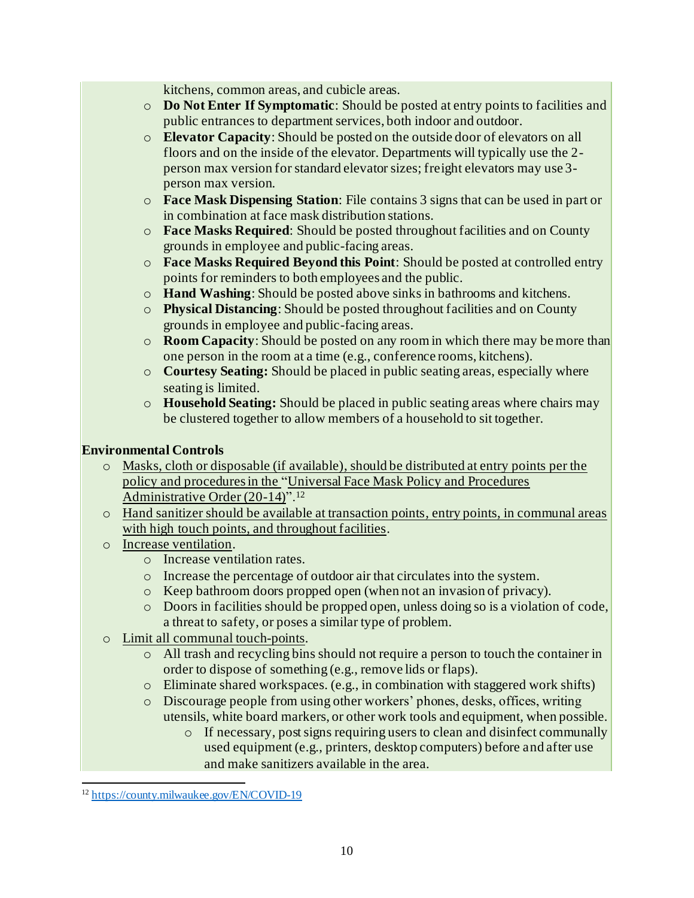kitchens, common areas, and cubicle areas.

- o **Do Not Enter If Symptomatic**: Should be posted at entry points to facilities and public entrances to department services, both indoor and outdoor.
- o **Elevator Capacity**: Should be posted on the outside door of elevators on all floors and on the inside of the elevator. Departments will typically use the 2 person max version for standard elevator sizes; freight elevators may use 3 person max version.
- o **Face Mask Dispensing Station**: File contains 3 signs that can be used in part or in combination at face mask distribution stations.
- o **Face Masks Required**: Should be posted throughout facilities and on County grounds in employee and public-facing areas.
- o **Face Masks Required Beyond this Point**: Should be posted at controlled entry points for reminders to both employees and the public.
- o **Hand Washing**: Should be posted above sinks in bathrooms and kitchens.
- o **Physical Distancing**: Should be posted throughout facilities and on County grounds in employee and public-facing areas.
- o **Room Capacity**: Should be posted on any room in which there may be more than one person in the room at a time (e.g., conference rooms, kitchens).
- o **Courtesy Seating:** Should be placed in public seating areas, especially where seating is limited.
- o **Household Seating:** Should be placed in public seating areas where chairs may be clustered together to allow members of a household to sit together.

#### **Environmental Controls**

- o Masks, cloth or disposable (if available), should be distributed at entry points per the policy and procedures in the ["Universal Face Mask Policy and Procedures](https://county.milwaukee.gov/EN/COVID-19)  [Administrative Order \(20-14\)](https://county.milwaukee.gov/EN/COVID-19)".<sup>12</sup>
- o Hand sanitizer should be available at transaction points, entry points, in communal areas with high touch points, and throughout facilities.
- o Increase ventilation.
	- o Increase ventilation rates.
	- o Increase the percentage of outdoor air that circulates into the system.
	- o Keep bathroom doors propped open (when not an invasion of privacy).
	- o Doors in facilities should be propped open, unless doing so is a violation of code, a threat to safety, or poses a similar type of problem.
- o Limit all communal touch-points.
	- o All trash and recycling bins should not require a person to touch the container in order to dispose of something (e.g., remove lids or flaps).
	- o Eliminate shared workspaces. (e.g., in combination with staggered work shifts)
	- o Discourage people from using other workers' phones, desks, offices, writing utensils, white board markers, or other work tools and equipment, when possible.
		- o If necessary, post signs requiring users to clean and disinfect communally used equipment (e.g., printers, desktop computers) before and after use and make sanitizers available in the area.

<sup>12</sup> <https://county.milwaukee.gov/EN/COVID-19>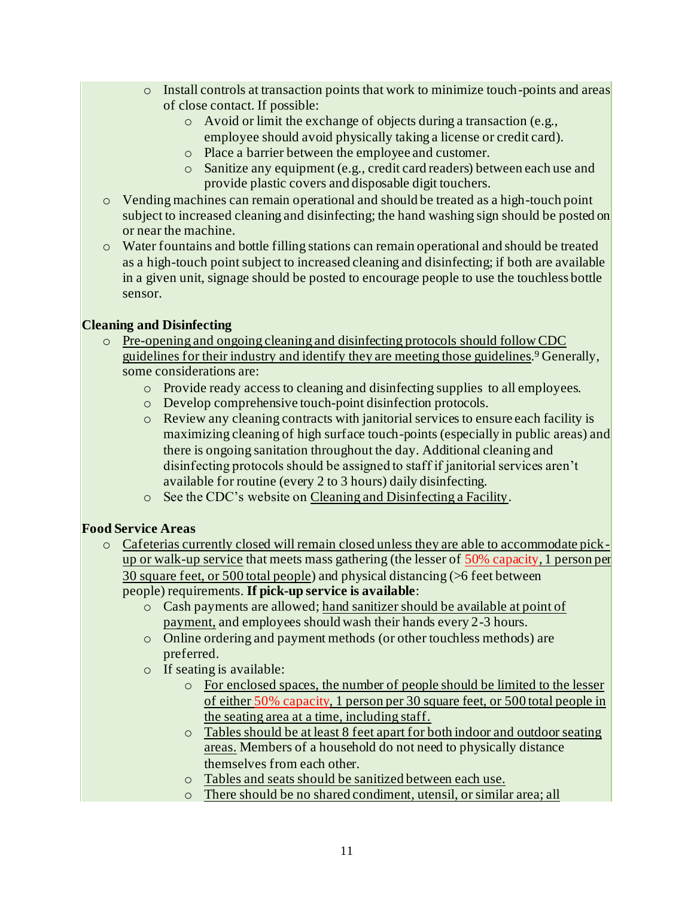- o Install controls at transaction points that work to minimize touch-points and areas of close contact. If possible:
	- o Avoid or limit the exchange of objects during a transaction (e.g., employee should avoid physically taking a license or credit card).
	- o Place a barrier between the employee and customer.
	- o Sanitize any equipment (e.g., credit card readers) between each use and provide plastic covers and disposable digit touchers.
- o Vending machines can remain operational and should be treated as a high-touch point subject to increased cleaning and disinfecting; the hand washing sign should be posted on or near the machine.
- o Water fountains and bottle filling stations can remain operational and should be treated as a high-touch point subject to increased cleaning and disinfecting; if both are available in a given unit, signage should be posted to encourage people to use the touchless bottle sensor.

#### **Cleaning and Disinfecting**

- o Pre-opening and ongoing cleaning and disinfecting protocols should follow CDC guidelines for their industry and identify they are meeting those guidelines. <sup>9</sup> Generally, some considerations are:
	- o Provide ready access to cleaning and disinfecting supplies to all employees.
	- o Develop comprehensive touch-point disinfection protocols.
	- o Review any cleaning contracts with janitorial services to ensure each facility is maximizing cleaning of high surface touch-points (especially in public areas) and there is ongoing sanitation throughout the day. Additional cleaning and disinfecting protocols should be assigned to staff if janitorial services aren't available for routine (every 2 to 3 hours) daily disinfecting.
	- o See the CDC's website on [Cleaning and Disinfecting a Facility.](https://www.cdc.gov/coronavirus/2019-ncov/community/disinfecting-building-facility.html)

#### **Food Service Areas**

- o Cafeterias currently closed will remain closed unless they are able to accommodate pickup or walk-up service that meets mass gathering (the lesser of 50% capacity, 1 person per 30 square feet, or 500 total people) and physical distancing (>6 feet between people) requirements. **If pick-up service is available**:
	- o Cash payments are allowed; hand sanitizer should be available at point of payment, and employees should wash their hands every 2-3 hours.
	- o Online ordering and payment methods (or other touchless methods) are preferred.
	- o If seating is available:
		- o For enclosed spaces, the number of people should be limited to the lesser of either 50% capacity, 1 person per 30 square feet, or 500 total people in the seating area at a time, including staff.
		- o Tables should be at least 8 feet apart for both indoor and outdoor seating areas. Members of a household do not need to physically distance themselves from each other.
		- o Tables and seats should be sanitized between each use.
		- o There should be no shared condiment, utensil, or similar area; all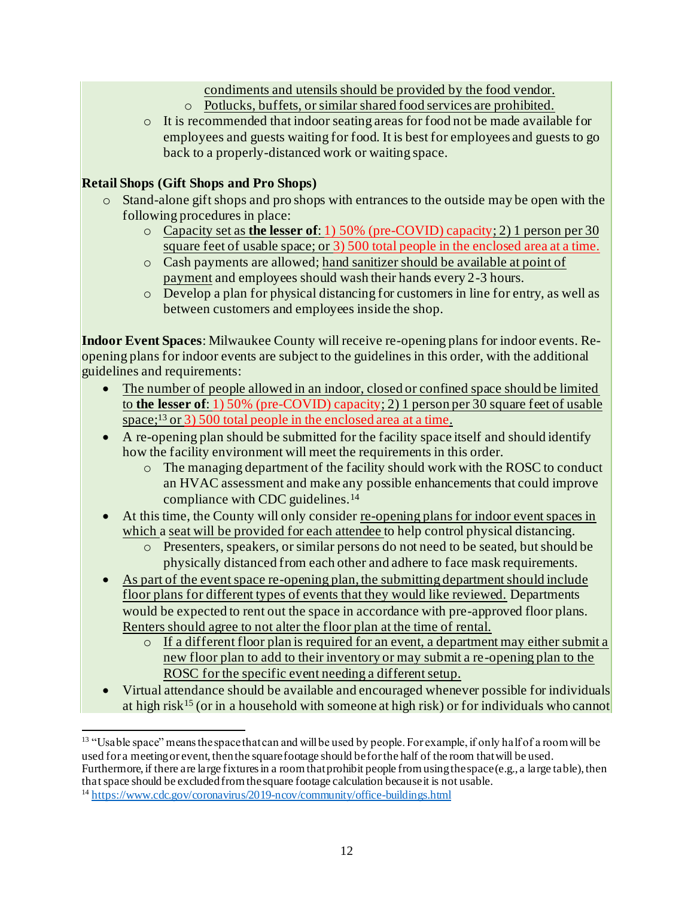condiments and utensils should be provided by the food vendor.

- o Potlucks, buffets, or similar shared food services are prohibited.
- o It is recommended that indoor seating areas for food not be made available for employees and guests waiting for food. It is best for employees and guests to go back to a properly-distanced work or waiting space.

# **Retail Shops (Gift Shops and Pro Shops)**

- o Stand-alone gift shops and pro shops with entrances to the outside may be open with the following procedures in place:
	- o Capacity set as **the lesser of**: 1) 50% (pre-COVID) capacity; 2) 1 person per 30 square feet of usable space; or 3) 500 total people in the enclosed area at a time.
	- o Cash payments are allowed; hand sanitizer should be available at point of payment and employees should wash their hands every 2-3 hours.
	- o Develop a plan for physical distancing for customers in line for entry, as well as between customers and employees inside the shop.

**Indoor Event Spaces**: Milwaukee County will receive re-opening plans for indoor events. Reopening plans for indoor events are subject to the guidelines in this order, with the additional guidelines and requirements:

- The number of people allowed in an indoor, closed or confined space should be limited to **the lesser of**: 1) 50% (pre-COVID) capacity; 2) 1 person per 30 square feet of usable space;<sup>13</sup> or 3) 500 total people in the enclosed area at a time.
- A re-opening plan should be submitted for the facility space itself and should identify how the facility environment will meet the requirements in this order.
	- o The managing department of the facility should work with the ROSC to conduct an HVAC assessment and make any possible enhancements that could improve compliance with CDC guidelines.<sup>14</sup>
- At this time, the County will only consider <u>re-opening plans for indoor event spaces in</u> which a seat will be provided for each attendee to help control physical distancing.
	- o Presenters, speakers, or similar persons do not need to be seated, but should be physically distanced from each other and adhere to face mask requirements.
- As part of the event space re-opening plan, the submitting department should include floor plans for different types of events that they would like reviewed. Departments would be expected to rent out the space in accordance with pre-approved floor plans. Renters should agree to not alter the floor plan at the time of rental.
	- o If a different floor plan is required for an event, a department may either submit a new floor plan to add to their inventory or may submit a re-opening plan to the ROSC for the specific event needing a different setup.
- Virtual attendance should be available and encouraged whenever possible for individuals at high risk<sup>15</sup> (or in a household with someone at high risk) or for individuals who cannot

<sup>&</sup>lt;sup>13</sup> "Usable space" means the space that can and will be used by people. For example, if only half of a room will be used for a meeting or event, then the square footage should be for the half of the room that will be used. Furthermore, if there are large fixtures in a room that prohibit people from using the space (e.g., a large table), then that space should be excluded from the square footage calculation because it is not usable.

<sup>&</sup>lt;sup>14</sup> <https://www.cdc.gov/coronavirus/2019-ncov/community/office-buildings.html>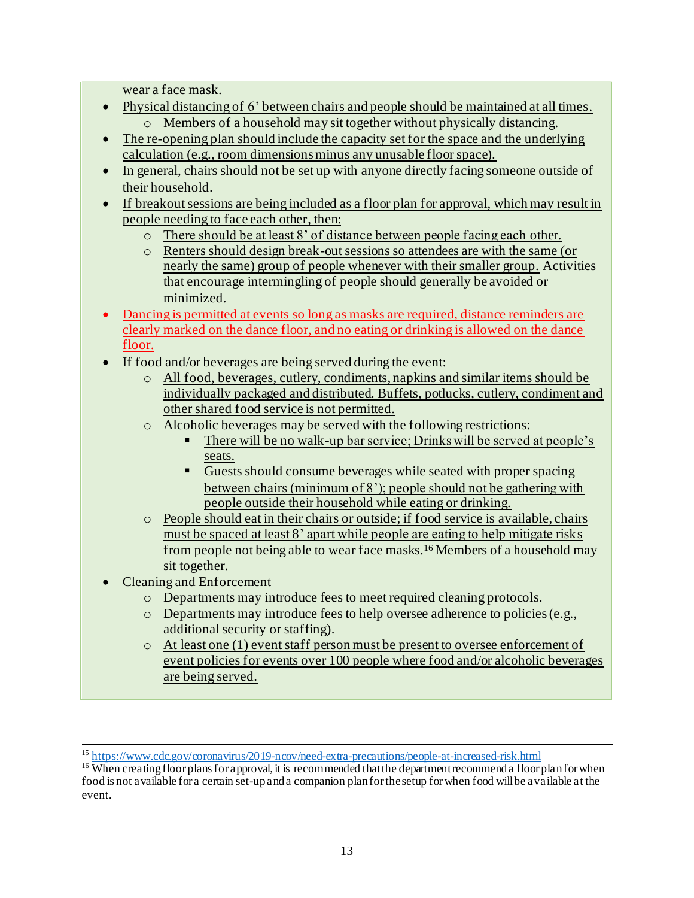wear a face mask.

- Physical distancing of 6' between chairs and people should be maintained at all times. o Members of a household may sit together without physically distancing.
- The re-opening plan should include the capacity set for the space and the underlying calculation (e.g., room dimensions minus any unusable floor space).
- In general, chairs should not be set up with anyone directly facing someone outside of their household.
- If breakout sessions are being included as a floor plan for approval, which may result in people needing to face each other, then:
	- o There should be at least 8' of distance between people facing each other.
	- o Renters should design break-out sessions so attendees are with the same (or nearly the same) group of people whenever with their smaller group. Activities that encourage intermingling of people should generally be avoided or minimized.
- Dancing is permitted at events so long as masks are required, distance reminders are clearly marked on the dance floor, and no eating or drinking is allowed on the dance floor.
- If food and/or beverages are being served during the event:
	- o All food, beverages, cutlery, condiments, napkins and similar items should be individually packaged and distributed. Buffets, potlucks, cutlery, condiment and other shared food service is not permitted.
	- o Alcoholic beverages may be served with the following restrictions:
		- There will be no walk-up bar service; Drinks will be served at people's seats.
		- Guests should consume beverages while seated with proper spacing between chairs (minimum of 8'); people should not be gathering with people outside their household while eating or drinking.
	- o People should eat in their chairs or outside; if food service is available, chairs must be spaced at least 8' apart while people are eating to help mitigate risks from people not being able to wear face masks.<sup>16</sup> Members of a household may sit together.
- Cleaning and Enforcement
	- o Departments may introduce fees to meet required cleaning protocols.
	- o Departments may introduce fees to help oversee adherence to policies(e.g., additional security or staffing).
	- o At least one (1) event staff person must be present to oversee enforcement of event policies for events over 100 people where food and/or alcoholic beverages are being served.

<sup>15</sup> <https://www.cdc.gov/coronavirus/2019-ncov/need-extra-precautions/people-at-increased-risk.html>

<sup>&</sup>lt;sup>16</sup> When creating floor plans for approval, it is recommended that the department recommend a floor plan for when food is not available for a certain set-up and a companion plan for the setup for when food will be available at the event.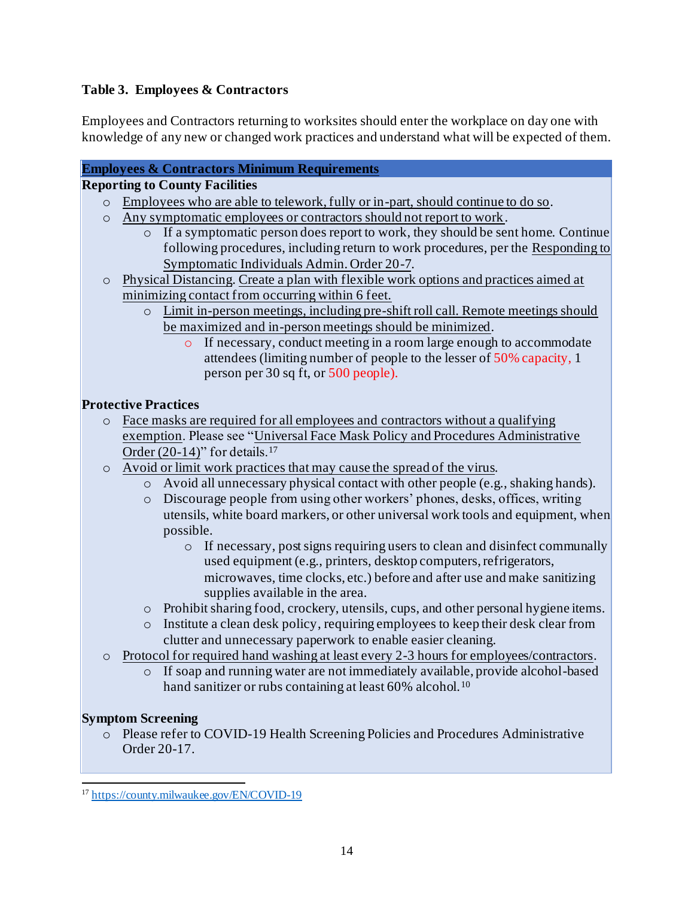# **Table 3. Employees & Contractors**

Employees and Contractors returning to worksites should enter the workplace on day one with knowledge of any new or changed work practices and understand what will be expected of them.

# **Employees & Contractors Minimum Requirements**

## **Reporting to County Facilities**

- o Employees who are able to telework, fully or in-part, should continue to do so.
- o Any symptomatic employees or contractors should not report to work.
	- $\circ$  If a symptomatic person does report to work, they should be sent home. Continue following procedures, including return to work procedures, per the [Responding to](https://countyconnect.milwaukeecountywi.gov/files/county/county-executive/RespondingtoConfirmedCOVID-19CasesorSymptomaticIndividualsandTheirCloseContacts20-7v11.pdf)  [Symptomatic Individuals Admin. Order 20-7](https://countyconnect.milwaukeecountywi.gov/files/county/county-executive/RespondingtoConfirmedCOVID-19CasesorSymptomaticIndividualsandTheirCloseContacts20-7v11.pdf).
- o Physical Distancing. Create a plan with flexible work options and practices aimed at minimizing contact from occurring within 6 feet.
	- o Limit in-person meetings, including pre-shift roll call. Remote meetings should be maximized and in-person meetings should be minimized.
		- o If necessary, conduct meeting in a room large enough to accommodate attendees (limiting number of people to the lesser of 50% capacity, 1 person per 30 sq ft, or 500 people).

#### **Protective Practices**

- o Face masks are required for all employees and contractors without a qualifying exemption. Please see ["Universal Face Mask Policy and Procedures Administrative](https://county.milwaukee.gov/EN/COVID-19)  Order  $(20-14)$ " for details.<sup>17</sup>
- o Avoid or limit work practices that may cause the spread of the virus.
	- o Avoid all unnecessary physical contact with other people (e.g., shaking hands).
	- o Discourage people from using other workers' phones, desks, offices, writing utensils, white board markers, or other universal work tools and equipment, when possible.
		- o If necessary, post signs requiring users to clean and disinfect communally used equipment (e.g., printers, desktop computers, refrigerators, microwaves, time clocks, etc.) before and after use and make sanitizing supplies available in the area.
	- o Prohibit sharing food, crockery, utensils, cups, and other personal hygiene items.
	- o Institute a clean desk policy, requiring employees to keep their desk clear from clutter and unnecessary paperwork to enable easier cleaning.
- o Protocol for required hand washing at least every 2-3 hours for employees/contractors.
	- o If soap and running water are not immediately available, provide alcohol-based hand sanitizer or rubs containing at least 60% alcohol.<sup>10</sup>

# **Symptom Screening**

o Please refer to COVID-19 Health Screening Policies and Procedures Administrative Order 20-17.

<sup>17</sup> <https://county.milwaukee.gov/EN/COVID-19>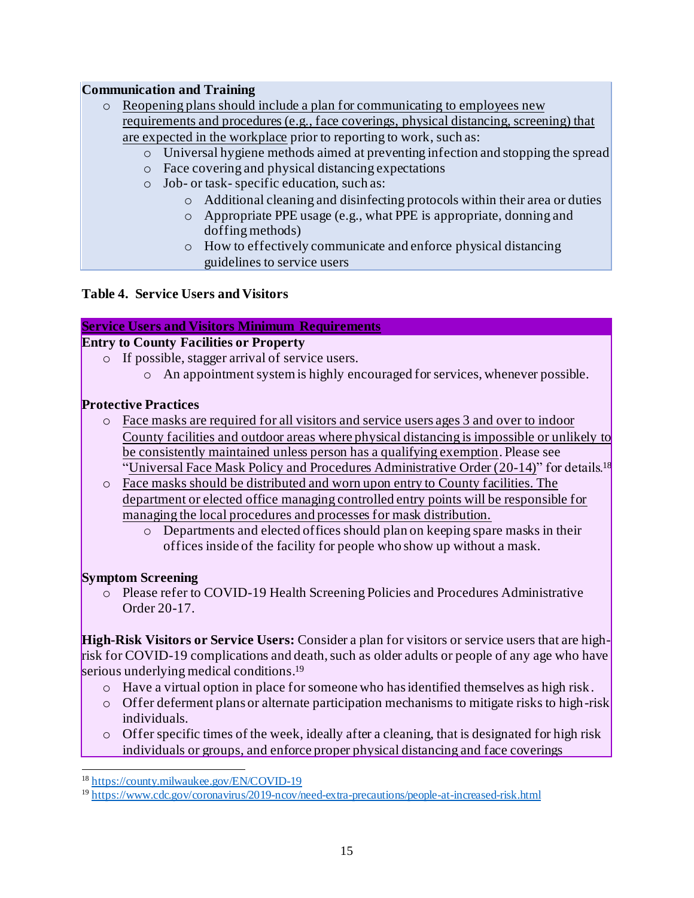#### **Communication and Training**

| $\circ$ Reopening plans should include a plan for communicating to employees new        |
|-----------------------------------------------------------------------------------------|
| requirements and procedures (e.g., face coverings, physical distancing, screening) that |
| are expected in the workplace prior to reporting to work, such as:                      |

- o Universal hygiene methods aimed at preventing infection and stopping the spread
- o Face covering and physical distancing expectations
- o Job- or task- specific education, such as:
	- o Additional cleaning and disinfecting protocols within their area or duties
	- o Appropriate PPE usage (e.g., what PPE is appropriate, donning and doffing methods)
	- o How to effectively communicate and enforce physical distancing guidelines to service users

#### **Table 4. Service Users and Visitors**

#### **Service Users and Visitors Minimum Requirements**

# **Entry to County Facilities or Property**

- o If possible, stagger arrival of service users.
	- o An appointment system is highly encouraged for services, whenever possible.

#### **Protective Practices**

- o Face masks are required for all visitors and service users ages 3 and over to indoor County facilities and outdoor areas where physical distancing is impossible or unlikely to be consistently maintained unless person has a qualifying exemption. Please see "Universal Face Mask Policy and Procedures Administrative Order  $(20-14)$ " for details.<sup>18</sup>
- o Face masks should be distributed and worn upon entry to County facilities. The department or elected office managing controlled entry points will be responsible for managing the local procedures and processes for mask distribution.
	- o Departments and elected offices should plan on keeping spare masks in their offices inside of the facility for people who show up without a mask.

#### **Symptom Screening**

o Please refer to COVID-19 Health Screening Policies and Procedures Administrative Order 20-17.

**High-Risk Visitors or Service Users:** Consider a plan for visitors or service users that are highrisk for COVID-19 complications and death, such as older adults or people of any age who have serious underlying medical conditions. 19

- o Have a virtual option in place for someone who has identified themselves as high risk.
- $\circ$  Offer deferment plans or alternate participation mechanisms to mitigate risks to high-risk individuals.
- $\circ$  Offer specific times of the week, ideally after a cleaning, that is designated for high risk individuals or groups, and enforce proper physical distancing and face coverings

<sup>18</sup> <https://county.milwaukee.gov/EN/COVID-19>

<sup>19</sup> <https://www.cdc.gov/coronavirus/2019-ncov/need-extra-precautions/people-at-increased-risk.html>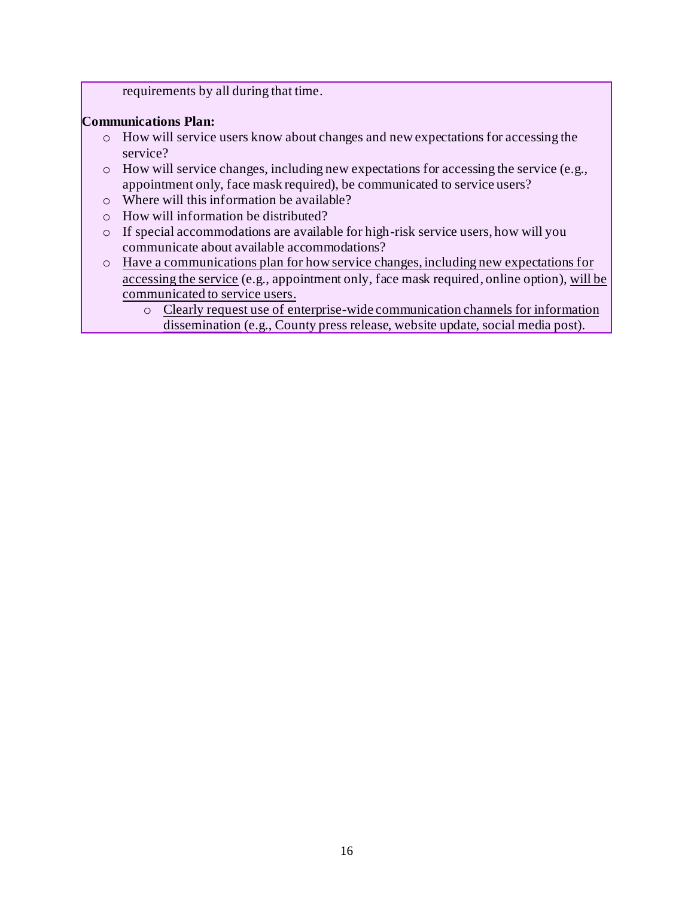requirements by all during that time.

#### **Communications Plan:**

- o How will service users know about changes and new expectations for accessing the service?
- o How will service changes, including new expectations for accessing the service (e.g., appointment only, face mask required), be communicated to service users?
- o Where will this information be available?
- o How will information be distributed?
- o If special accommodations are available for high-risk service users, how will you communicate about available accommodations?
- o Have a communications plan for how service changes, including new expectations for accessing the service (e.g., appointment only, face mask required, online option), will be communicated to service users.
	- o Clearly request use of enterprise-wide communication channels for information dissemination (e.g., County press release, website update, social media post).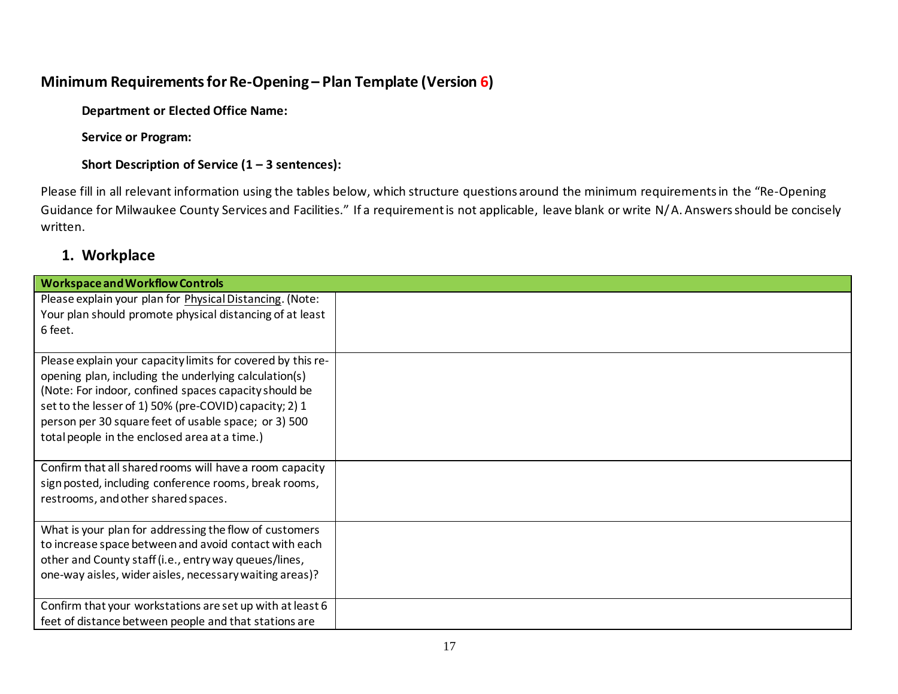# **Minimum Requirements for Re-Opening – Plan Template (Version 6)**

**Department or Elected Office Name:** 

**Service or Program:** 

**Short Description of Service (1 – 3 sentences):** 

Please fill in all relevant information using the tables below, which structure questions around the minimum requirements in the "Re-Opening Guidance for Milwaukee County Services and Facilities." If a requirement is not applicable, leave blank or write N/A. Answers should be concisely written.

# **1. Workplace**

| <b>Workspace and Workflow Controls</b>                      |  |
|-------------------------------------------------------------|--|
| Please explain your plan for Physical Distancing. (Note:    |  |
| Your plan should promote physical distancing of at least    |  |
| 6 feet.                                                     |  |
|                                                             |  |
| Please explain your capacity limits for covered by this re- |  |
| opening plan, including the underlying calculation(s)       |  |
| (Note: For indoor, confined spaces capacity should be       |  |
| set to the lesser of 1) 50% (pre-COVID) capacity; 2) 1      |  |
| person per 30 square feet of usable space; or 3) 500        |  |
| total people in the enclosed area at a time.)               |  |
|                                                             |  |
| Confirm that all shared rooms will have a room capacity     |  |
| sign posted, including conference rooms, break rooms,       |  |
| restrooms, and other shared spaces.                         |  |
|                                                             |  |
| What is your plan for addressing the flow of customers      |  |
| to increase space between and avoid contact with each       |  |
| other and County staff (i.e., entry way queues/lines,       |  |
| one-way aisles, wider aisles, necessary waiting areas)?     |  |
|                                                             |  |
| Confirm that your workstations are set up with at least 6   |  |
| feet of distance between people and that stations are       |  |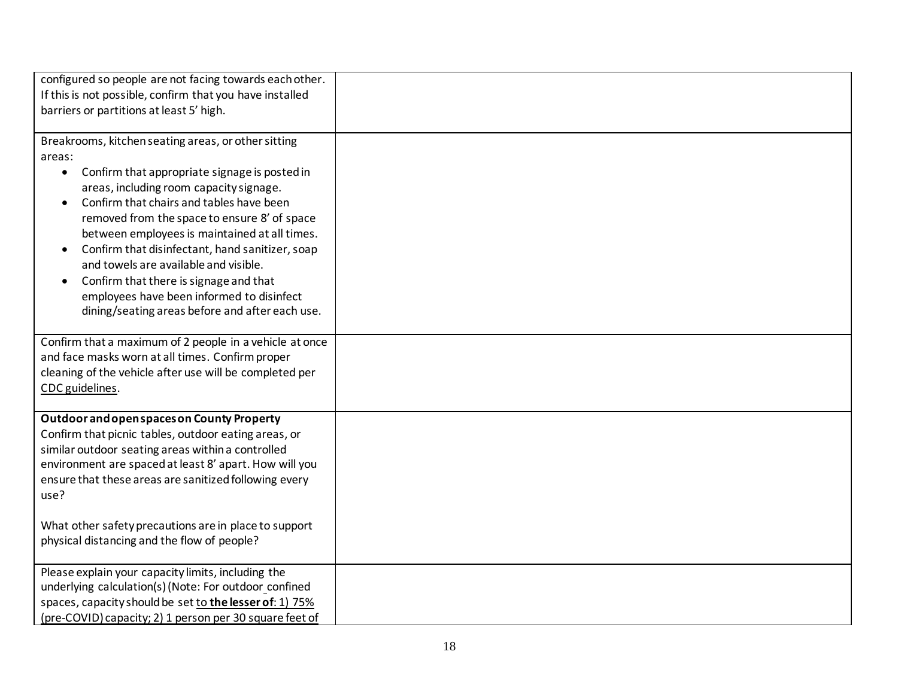| configured so people are not facing towards each other.                    |  |
|----------------------------------------------------------------------------|--|
| If this is not possible, confirm that you have installed                   |  |
| barriers or partitions at least 5' high.                                   |  |
|                                                                            |  |
| Breakrooms, kitchen seating areas, or other sitting                        |  |
| areas:                                                                     |  |
| Confirm that appropriate signage is posted in<br>$\bullet$                 |  |
| areas, including room capacity signage.                                    |  |
| Confirm that chairs and tables have been<br>$\bullet$                      |  |
| removed from the space to ensure 8' of space                               |  |
| between employees is maintained at all times.                              |  |
| Confirm that disinfectant, hand sanitizer, soap                            |  |
| and towels are available and visible.                                      |  |
| Confirm that there is signage and that<br>$\bullet$                        |  |
| employees have been informed to disinfect                                  |  |
| dining/seating areas before and after each use.                            |  |
|                                                                            |  |
| Confirm that a maximum of 2 people in a vehicle at once                    |  |
| and face masks worn at all times. Confirm proper                           |  |
| cleaning of the vehicle after use will be completed per<br>CDC guidelines. |  |
|                                                                            |  |
| Outdoor and open spaces on County Property                                 |  |
| Confirm that picnic tables, outdoor eating areas, or                       |  |
| similar outdoor seating areas within a controlled                          |  |
| environment are spaced at least 8' apart. How will you                     |  |
| ensure that these areas are sanitized following every                      |  |
| use?                                                                       |  |
|                                                                            |  |
| What other safety precautions are in place to support                      |  |
| physical distancing and the flow of people?                                |  |
|                                                                            |  |
| Please explain your capacity limits, including the                         |  |
| underlying calculation(s) (Note: For outdoor_confined                      |  |
| spaces, capacity should be set to the lesser of: 1) 75%                    |  |
| (pre-COVID) capacity; 2) 1 person per 30 square feet of                    |  |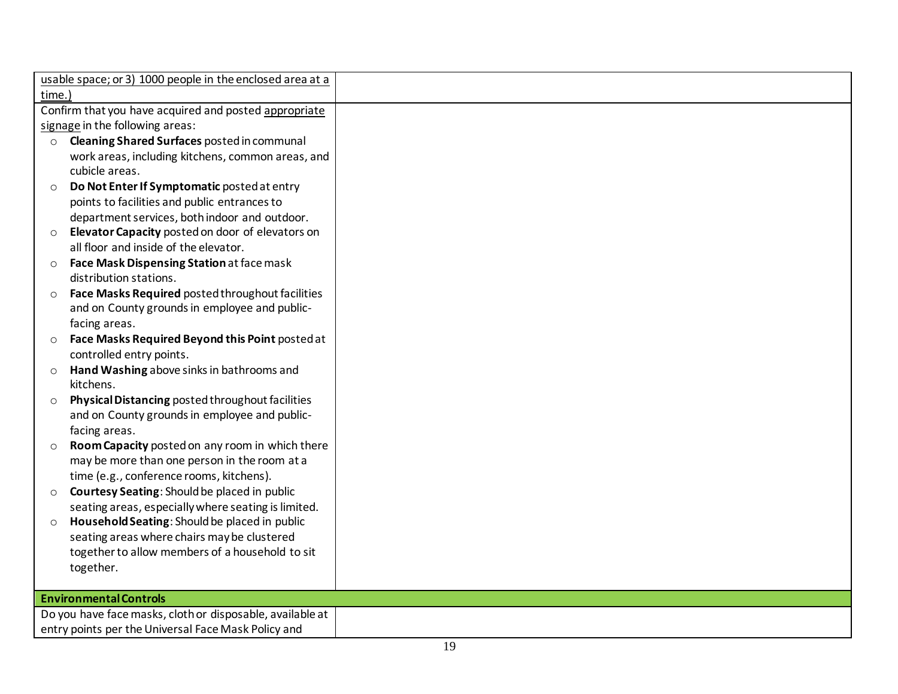| time.)                                                      |  |
|-------------------------------------------------------------|--|
| Confirm that you have acquired and posted appropriate       |  |
| signage in the following areas:                             |  |
| Cleaning Shared Surfaces posted in communal<br>$\circ$      |  |
| work areas, including kitchens, common areas, and           |  |
| cubicle areas.                                              |  |
| Do Not Enter If Symptomatic posted at entry<br>$\circ$      |  |
| points to facilities and public entrances to                |  |
| department services, both indoor and outdoor.               |  |
| Elevator Capacity posted on door of elevators on<br>$\circ$ |  |
| all floor and inside of the elevator.                       |  |
| Face Mask Dispensing Station at face mask<br>$\circ$        |  |
| distribution stations.                                      |  |
| Face Masks Required posted throughout facilities<br>$\circ$ |  |
| and on County grounds in employee and public-               |  |
| facing areas.                                               |  |
| Face Masks Required Beyond this Point posted at<br>$\circ$  |  |
| controlled entry points.                                    |  |
| Hand Washing above sinks in bathrooms and<br>$\circ$        |  |
| kitchens.                                                   |  |
| Physical Distancing posted throughout facilities<br>$\circ$ |  |
| and on County grounds in employee and public-               |  |
| facing areas.                                               |  |
| Room Capacity posted on any room in which there<br>$\circ$  |  |
| may be more than one person in the room at a                |  |
| time (e.g., conference rooms, kitchens).                    |  |
| Courtesy Seating: Should be placed in public<br>$\circ$     |  |
| seating areas, especially where seating is limited.         |  |
| Household Seating: Should be placed in public<br>$\circ$    |  |
| seating areas where chairs may be clustered                 |  |
| together to allow members of a household to sit             |  |
| together.                                                   |  |
| <b>Environmental Controls</b>                               |  |
| Do you have face masks, cloth or disposable, available at   |  |
| entry points per the Universal Face Mask Policy and         |  |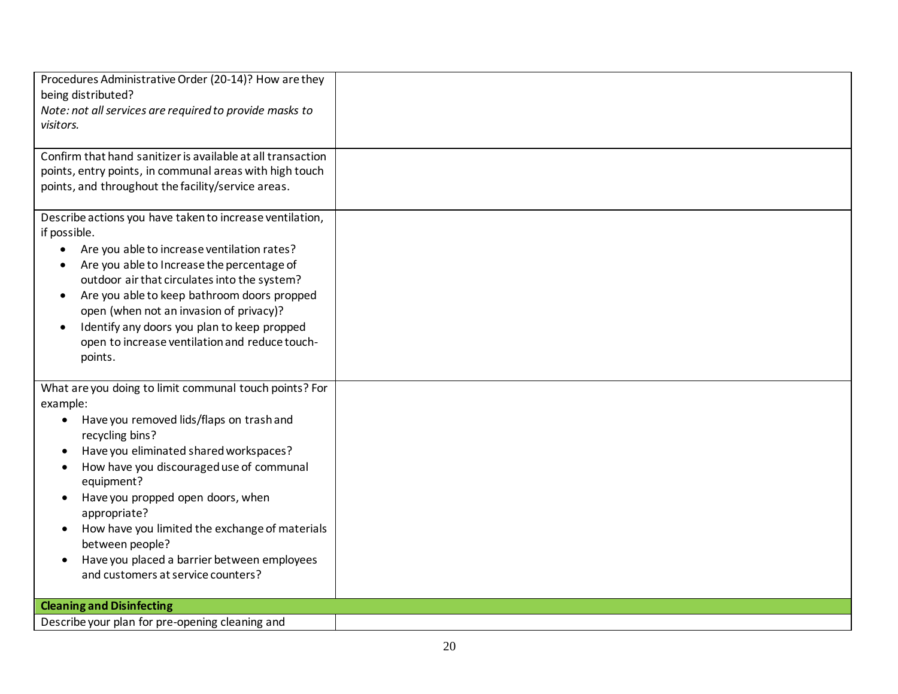| Procedures Administrative Order (20-14)? How are they       |  |
|-------------------------------------------------------------|--|
| being distributed?                                          |  |
| Note: not all services are required to provide masks to     |  |
| visitors.                                                   |  |
|                                                             |  |
| Confirm that hand sanitizer is available at all transaction |  |
| points, entry points, in communal areas with high touch     |  |
| points, and throughout the facility/service areas.          |  |
|                                                             |  |
| Describe actions you have taken to increase ventilation,    |  |
| if possible.                                                |  |
| Are you able to increase ventilation rates?<br>$\bullet$    |  |
| Are you able to Increase the percentage of<br>٠             |  |
| outdoor air that circulates into the system?                |  |
| Are you able to keep bathroom doors propped<br>$\bullet$    |  |
| open (when not an invasion of privacy)?                     |  |
| Identify any doors you plan to keep propped<br>$\bullet$    |  |
| open to increase ventilation and reduce touch-              |  |
| points.                                                     |  |
|                                                             |  |
| What are you doing to limit communal touch points? For      |  |
| example:                                                    |  |
| Have you removed lids/flaps on trash and<br>$\bullet$       |  |
| recycling bins?                                             |  |
| Have you eliminated shared workspaces?                      |  |
| How have you discouraged use of communal<br>$\bullet$       |  |
| equipment?                                                  |  |
| Have you propped open doors, when                           |  |
| appropriate?                                                |  |
| How have you limited the exchange of materials              |  |
| between people?                                             |  |
| Have you placed a barrier between employees                 |  |
| and customers at service counters?                          |  |
|                                                             |  |
| <b>Cleaning and Disinfecting</b>                            |  |
| Describe your plan for pre-opening cleaning and             |  |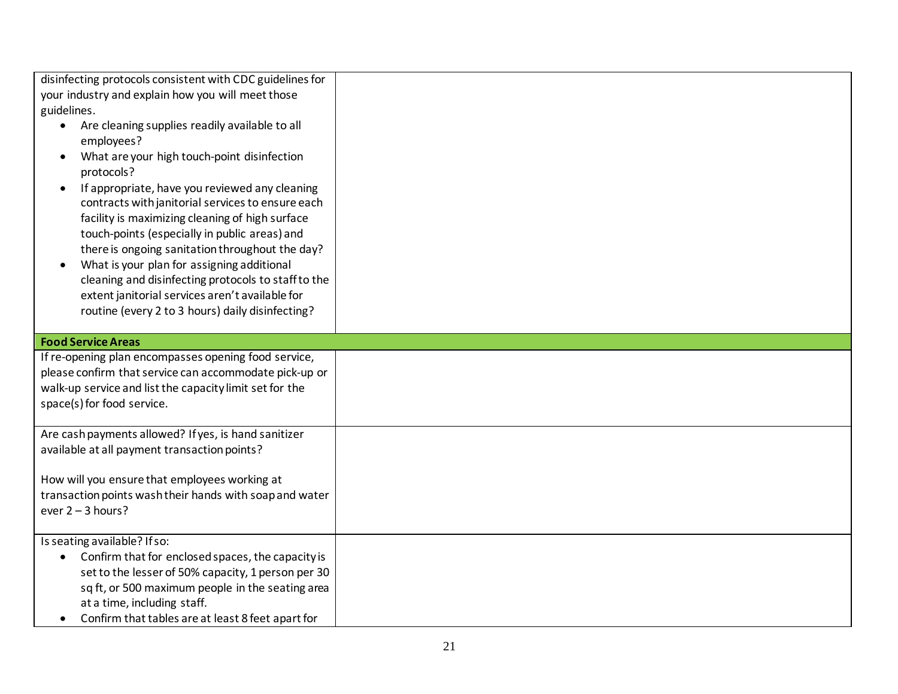| disinfecting protocols consistent with CDC guidelines for                                                |  |
|----------------------------------------------------------------------------------------------------------|--|
| your industry and explain how you will meet those                                                        |  |
| guidelines.                                                                                              |  |
| Are cleaning supplies readily available to all<br>$\bullet$                                              |  |
| employees?                                                                                               |  |
| What are your high touch-point disinfection<br>$\bullet$                                                 |  |
| protocols?                                                                                               |  |
| If appropriate, have you reviewed any cleaning<br>$\bullet$                                              |  |
| contracts with janitorial services to ensure each                                                        |  |
| facility is maximizing cleaning of high surface                                                          |  |
| touch-points (especially in public areas) and<br>there is ongoing sanitation throughout the day?         |  |
| What is your plan for assigning additional                                                               |  |
| cleaning and disinfecting protocols to staff to the                                                      |  |
| extent janitorial services aren't available for                                                          |  |
| routine (every 2 to 3 hours) daily disinfecting?                                                         |  |
|                                                                                                          |  |
| <b>Food Service Areas</b>                                                                                |  |
|                                                                                                          |  |
| If re-opening plan encompasses opening food service,                                                     |  |
| please confirm that service can accommodate pick-up or                                                   |  |
| walk-up service and list the capacity limit set for the                                                  |  |
| space(s) for food service.                                                                               |  |
|                                                                                                          |  |
| Are cash payments allowed? If yes, is hand sanitizer                                                     |  |
| available at all payment transaction points?                                                             |  |
|                                                                                                          |  |
| How will you ensure that employees working at<br>transaction points wash their hands with soap and water |  |
| ever $2 - 3$ hours?                                                                                      |  |
|                                                                                                          |  |
| Is seating available? If so:                                                                             |  |
| Confirm that for enclosed spaces, the capacity is                                                        |  |
| set to the lesser of 50% capacity, 1 person per 30                                                       |  |
| sq ft, or 500 maximum people in the seating area                                                         |  |
| at a time, including staff.<br>Confirm that tables are at least 8 feet apart for                         |  |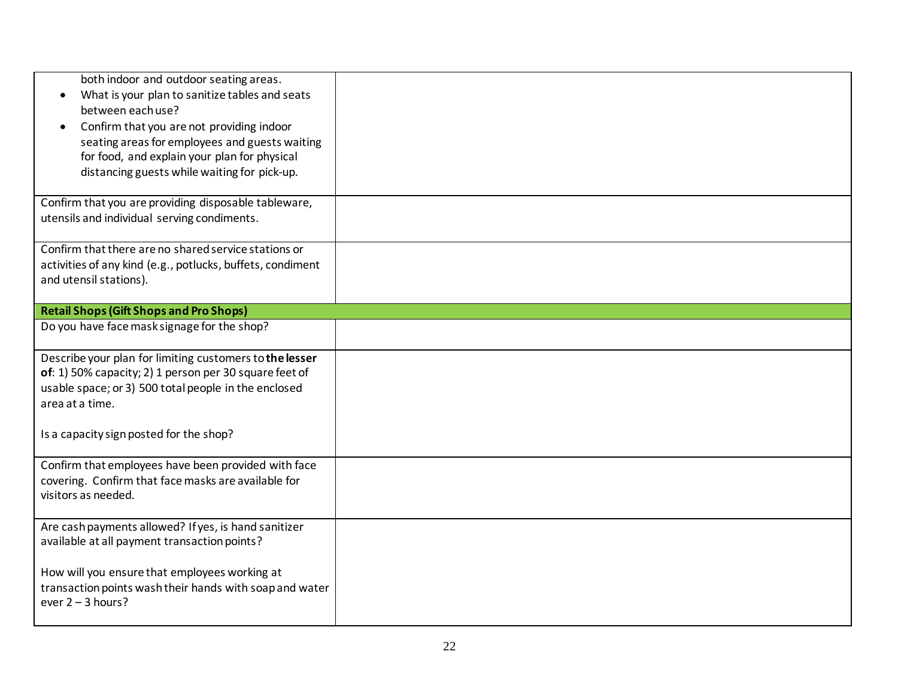| both indoor and outdoor seating areas.<br>What is your plan to sanitize tables and seats<br>$\bullet$<br>between each use?<br>Confirm that you are not providing indoor<br>seating areas for employees and guests waiting<br>for food, and explain your plan for physical<br>distancing guests while waiting for pick-up. |  |
|---------------------------------------------------------------------------------------------------------------------------------------------------------------------------------------------------------------------------------------------------------------------------------------------------------------------------|--|
| Confirm that you are providing disposable tableware,<br>utensils and individual serving condiments.                                                                                                                                                                                                                       |  |
| Confirm that there are no shared service stations or<br>activities of any kind (e.g., potlucks, buffets, condiment<br>and utensil stations).                                                                                                                                                                              |  |
| <b>Retail Shops (Gift Shops and Pro Shops)</b>                                                                                                                                                                                                                                                                            |  |
| Do you have face mask signage for the shop?                                                                                                                                                                                                                                                                               |  |
| Describe your plan for limiting customers to the lesser<br>of: 1) 50% capacity; 2) 1 person per 30 square feet of<br>usable space; or 3) 500 total people in the enclosed<br>area at a time.                                                                                                                              |  |
| Is a capacity sign posted for the shop?                                                                                                                                                                                                                                                                                   |  |
| Confirm that employees have been provided with face<br>covering. Confirm that face masks are available for<br>visitors as needed.                                                                                                                                                                                         |  |
| Are cash payments allowed? If yes, is hand sanitizer<br>available at all payment transaction points?                                                                                                                                                                                                                      |  |
| How will you ensure that employees working at<br>transaction points wash their hands with soap and water<br>ever $2 - 3$ hours?                                                                                                                                                                                           |  |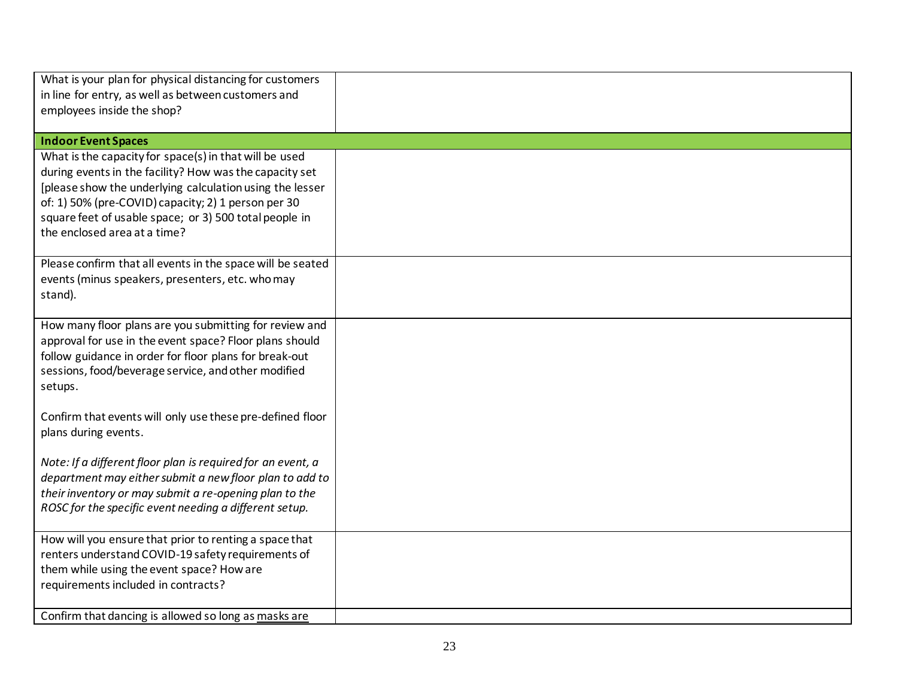| What is your plan for physical distancing for customers                                                           |  |
|-------------------------------------------------------------------------------------------------------------------|--|
| in line for entry, as well as between customers and                                                               |  |
| employees inside the shop?                                                                                        |  |
| <b>Indoor Event Spaces</b>                                                                                        |  |
| What is the capacity for space(s) in that will be used                                                            |  |
| during events in the facility? How was the capacity set                                                           |  |
| [please show the underlying calculation using the lesser                                                          |  |
| of: 1) 50% (pre-COVID) capacity; 2) 1 person per 30                                                               |  |
| square feet of usable space; or 3) 500 total people in                                                            |  |
| the enclosed area at a time?                                                                                      |  |
| Please confirm that all events in the space will be seated                                                        |  |
| events (minus speakers, presenters, etc. who may                                                                  |  |
| stand).                                                                                                           |  |
|                                                                                                                   |  |
| How many floor plans are you submitting for review and                                                            |  |
| approval for use in the event space? Floor plans should<br>follow guidance in order for floor plans for break-out |  |
| sessions, food/beverage service, and other modified                                                               |  |
| setups.                                                                                                           |  |
|                                                                                                                   |  |
| Confirm that events will only use these pre-defined floor                                                         |  |
| plans during events.                                                                                              |  |
| Note: If a different floor plan is required for an event, a                                                       |  |
| department may either submit a new floor plan to add to                                                           |  |
| their inventory or may submit a re-opening plan to the                                                            |  |
| ROSC for the specific event needing a different setup.                                                            |  |
|                                                                                                                   |  |
| How will you ensure that prior to renting a space that                                                            |  |
| renters understand COVID-19 safety requirements of<br>them while using the event space? How are                   |  |
| requirements included in contracts?                                                                               |  |
|                                                                                                                   |  |
| Confirm that dancing is allowed so long as masks are                                                              |  |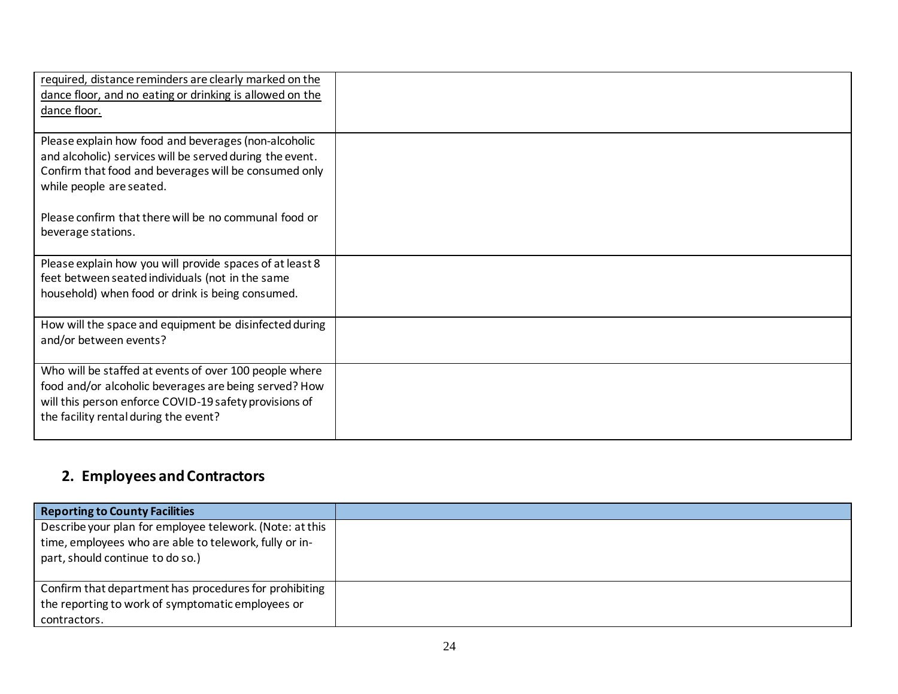| required, distance reminders are clearly marked on the<br>dance floor, and no eating or drinking is allowed on the<br>dance floor.                                                                                                                             |  |
|----------------------------------------------------------------------------------------------------------------------------------------------------------------------------------------------------------------------------------------------------------------|--|
| Please explain how food and beverages (non-alcoholic<br>and alcoholic) services will be served during the event.<br>Confirm that food and beverages will be consumed only<br>while people are seated.<br>Please confirm that there will be no communal food or |  |
| beverage stations.                                                                                                                                                                                                                                             |  |
| Please explain how you will provide spaces of at least 8<br>feet between seated individuals (not in the same<br>household) when food or drink is being consumed.                                                                                               |  |
| How will the space and equipment be disinfected during<br>and/or between events?                                                                                                                                                                               |  |
| Who will be staffed at events of over 100 people where<br>food and/or alcoholic beverages are being served? How<br>will this person enforce COVID-19 safety provisions of<br>the facility rental during the event?                                             |  |

# **2. Employees and Contractors**

| <b>Reporting to County Facilities</b>                                                                                                                  |  |
|--------------------------------------------------------------------------------------------------------------------------------------------------------|--|
| Describe your plan for employee telework. (Note: at this<br>time, employees who are able to telework, fully or in-<br>part, should continue to do so.) |  |
| Confirm that department has procedures for prohibiting<br>the reporting to work of symptomatic employees or<br>contractors.                            |  |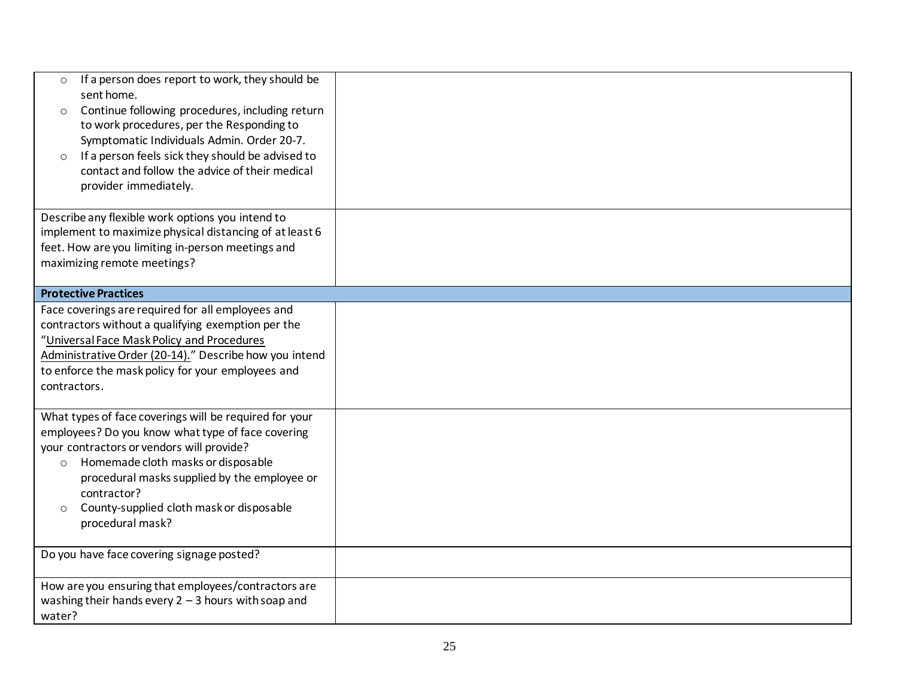| If a person does report to work, they should be<br>$\circ$<br>sent home.<br>Continue following procedures, including return<br>$\circ$<br>to work procedures, per the Responding to<br>Symptomatic Individuals Admin. Order 20-7.<br>If a person feels sick they should be advised to<br>$\circ$<br>contact and follow the advice of their medical<br>provider immediately. |  |
|-----------------------------------------------------------------------------------------------------------------------------------------------------------------------------------------------------------------------------------------------------------------------------------------------------------------------------------------------------------------------------|--|
| Describe any flexible work options you intend to<br>implement to maximize physical distancing of at least 6<br>feet. How are you limiting in-person meetings and<br>maximizing remote meetings?                                                                                                                                                                             |  |
| <b>Protective Practices</b>                                                                                                                                                                                                                                                                                                                                                 |  |
| Face coverings are required for all employees and<br>contractors without a qualifying exemption per the<br>"Universal Face Mask Policy and Procedures<br>Administrative Order (20-14)." Describe how you intend<br>to enforce the mask policy for your employees and<br>contractors.                                                                                        |  |
| What types of face coverings will be required for your<br>employees? Do you know what type of face covering<br>your contractors or vendors will provide?<br>Homemade cloth masks or disposable<br>$\circ$<br>procedural masks supplied by the employee or<br>contractor?<br>County-supplied cloth mask or disposable<br>$\circ$<br>procedural mask?                         |  |
| Do you have face covering signage posted?                                                                                                                                                                                                                                                                                                                                   |  |
| How are you ensuring that employees/contractors are<br>washing their hands every $2 - 3$ hours with soap and<br>water?                                                                                                                                                                                                                                                      |  |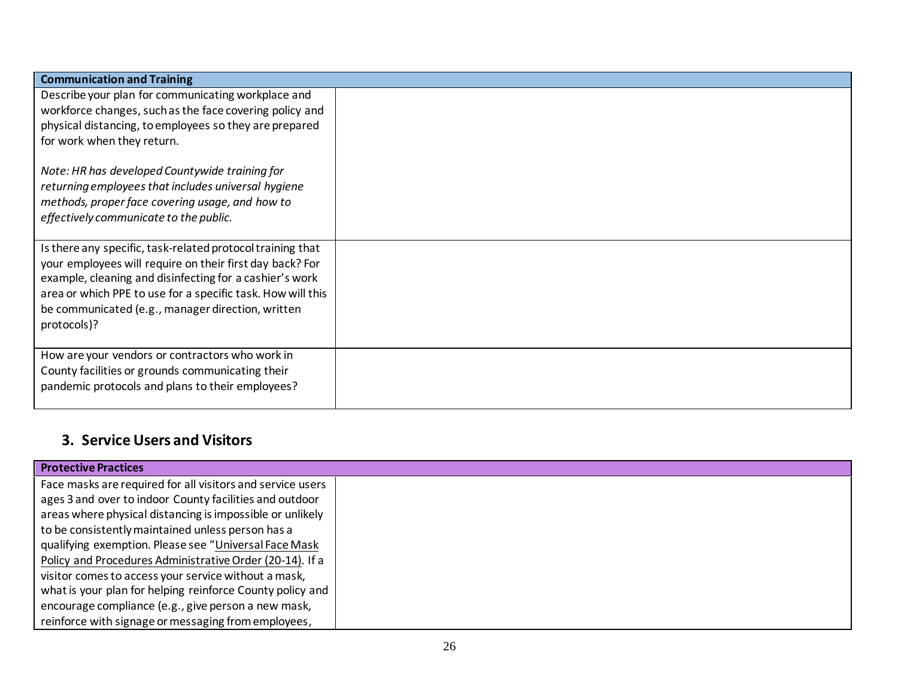| <b>Communication and Training</b>                                                                                                                                                                                                                                                                                                                                                                           |  |  |
|-------------------------------------------------------------------------------------------------------------------------------------------------------------------------------------------------------------------------------------------------------------------------------------------------------------------------------------------------------------------------------------------------------------|--|--|
| Describe your plan for communicating workplace and<br>workforce changes, such as the face covering policy and<br>physical distancing, to employees so they are prepared<br>for work when they return.<br>Note: HR has developed Countywide training for<br>returning employees that includes universal hygiene<br>methods, proper face covering usage, and how to<br>effectively communicate to the public. |  |  |
| Is there any specific, task-related protocol training that<br>your employees will require on their first day back? For<br>example, cleaning and disinfecting for a cashier's work<br>area or which PPE to use for a specific task. How will this<br>be communicated (e.g., manager direction, written<br>protocols)?                                                                                        |  |  |
| How are your vendors or contractors who work in<br>County facilities or grounds communicating their<br>pandemic protocols and plans to their employees?                                                                                                                                                                                                                                                     |  |  |

# **3. Service Users and Visitors**

| <b>Protective Practices</b>                                |  |
|------------------------------------------------------------|--|
| Face masks are required for all visitors and service users |  |
| ages 3 and over to indoor County facilities and outdoor    |  |
| areas where physical distancing is impossible or unlikely  |  |
| to be consistently maintained unless person has a          |  |
| qualifying exemption. Please see "Universal Face Mask      |  |
| Policy and Procedures Administrative Order (20-14). If a   |  |
| visitor comes to access your service without a mask,       |  |
| what is your plan for helping reinforce County policy and  |  |
| encourage compliance (e.g., give person a new mask,        |  |
| reinforce with signage or messaging from employees,        |  |